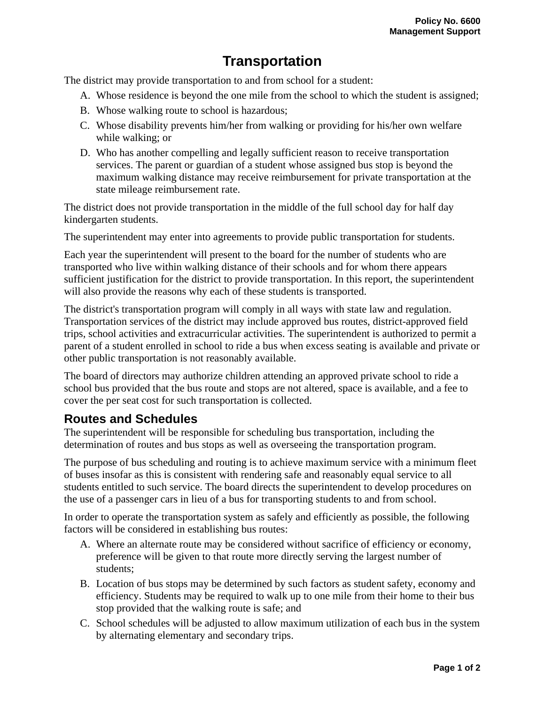## **Transportation**

The district may provide transportation to and from school for a student:

- A. Whose residence is beyond the one mile from the school to which the student is assigned;
- B. Whose walking route to school is hazardous;
- C. Whose disability prevents him/her from walking or providing for his/her own welfare while walking; or
- D. Who has another compelling and legally sufficient reason to receive transportation services. The parent or guardian of a student whose assigned bus stop is beyond the maximum walking distance may receive reimbursement for private transportation at the state mileage reimbursement rate.

The district does not provide transportation in the middle of the full school day for half day kindergarten students.

The superintendent may enter into agreements to provide public transportation for students.

Each year the superintendent will present to the board for the number of students who are transported who live within walking distance of their schools and for whom there appears sufficient justification for the district to provide transportation. In this report, the superintendent will also provide the reasons why each of these students is transported.

The district's transportation program will comply in all ways with state law and regulation. Transportation services of the district may include approved bus routes, district-approved field trips, school activities and extracurricular activities. The superintendent is authorized to permit a parent of a student enrolled in school to ride a bus when excess seating is available and private or other public transportation is not reasonably available.

The board of directors may authorize children attending an approved private school to ride a school bus provided that the bus route and stops are not altered, space is available, and a fee to cover the per seat cost for such transportation is collected.

## **Routes and Schedules**

The superintendent will be responsible for scheduling bus transportation, including the determination of routes and bus stops as well as overseeing the transportation program.

The purpose of bus scheduling and routing is to achieve maximum service with a minimum fleet of buses insofar as this is consistent with rendering safe and reasonably equal service to all students entitled to such service. The board directs the superintendent to develop procedures on the use of a passenger cars in lieu of a bus for transporting students to and from school.

In order to operate the transportation system as safely and efficiently as possible, the following factors will be considered in establishing bus routes:

- A. Where an alternate route may be considered without sacrifice of efficiency or economy, preference will be given to that route more directly serving the largest number of students;
- B. Location of bus stops may be determined by such factors as student safety, economy and efficiency. Students may be required to walk up to one mile from their home to their bus stop provided that the walking route is safe; and
- C. School schedules will be adjusted to allow maximum utilization of each bus in the system by alternating elementary and secondary trips.